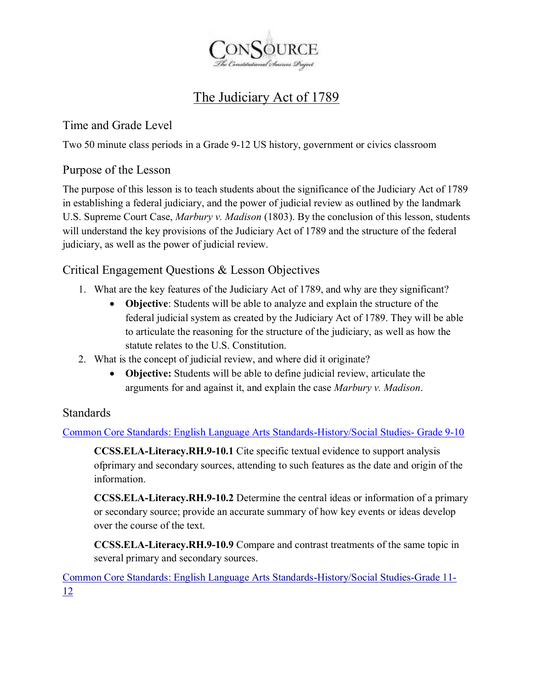

# The Judiciary Act of 1789

## Time and Grade Level

Two 50 minute class periods in a Grade 9-12 US history, government or civics classroom

## Purpose of the Lesson

The purpose of this lesson is to teach students about the significance of the Judiciary Act of 1789 in establishing a federal judiciary, and the power of judicial review as outlined by the landmark U.S. Supreme Court Case, *Marbury v. Madison* (1803). By the conclusion of this lesson, students will understand the key provisions of the Judiciary Act of 1789 and the structure of the federal judiciary, as well as the power of judicial review.

## Critical Engagement Questions & Lesson Objectives

- 1. What are the key features of the Judiciary Act of 1789, and why are they significant?
	- **Objective**: Students will be able to analyze and explain the structure of the federal judicial system as created by the Judiciary Act of 1789. They will be able to articulate the reasoning for the structure of the judiciary, as well as how the statute relates to the U.S. Constitution.
- 2. What is the concept of judicial review, and where did it originate?
	- **Objective:** Students will be able to define judicial review, articulate the arguments for and against it, and explain the case *Marbury v. Madison*.

## **Standards**

[Common Core Standards: English Language Arts Standards-History/Social](http://www.corestandards.org/ELA-Literacy/RH/9-10) Studies- Grade 9-10

**CCSS.ELA-Literacy.RH.9-10.1** Cite specific textual evidence to support analysis ofprimary and secondary sources, attending to such features as the date and origin of the information.

**CCSS.ELA-Literacy.RH.9-10.2** Determine the central ideas or information of a primary or secondary source; provide an accurate summary of how key events or ideas develop over the course of the text.

**CCSS.ELA-Literacy.RH.9-10.9** Compare and contrast treatments of the same topic in several primary and secondary sources.

[Common Core Standards: English Language Arts Standards-History/Social Studies-Grade 11-](http://www.corestandards.org/ELA-Literacy/RH/11-12) [12](http://www.corestandards.org/ELA-Literacy/RH/11-12)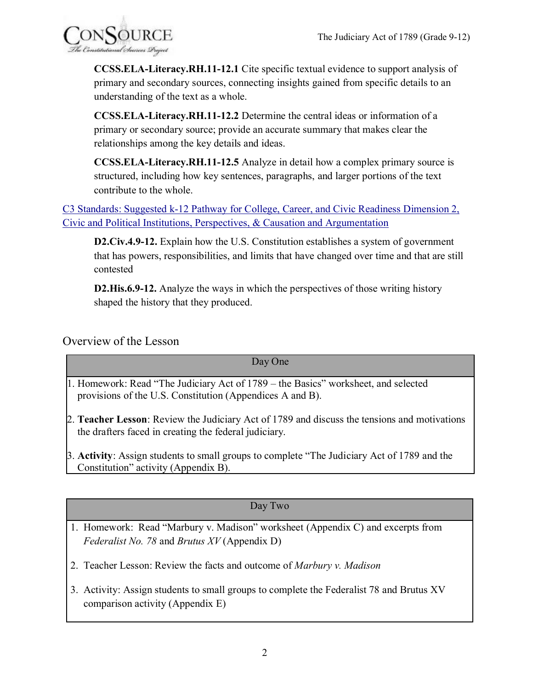

**CCSS.ELA-Literacy.RH.11-12.1** Cite specific textual evidence to support analysis of primary and secondary sources, connecting insights gained from specific details to an understanding of the text as a whole.

**CCSS.ELA-Literacy.RH.11-12.2** Determine the central ideas or information of a primary or secondary source; provide an accurate summary that makes clear the relationships among the key details and ideas.

**CCSS.ELA-Literacy.RH.11-12.5** Analyze in detail how a complex primary source is structured, including how key sentences, paragraphs, and larger portions of the text contribute to the whole.

[C3 Standards: Suggested k-12 Pathway for College, Career, and Civic Readiness Dimension 2,](http://www.socialstudies.org/system/files/c3/C3-Framework-for-Social-Studies.pdf)  [Civic and Political Institutions, Perspectives, & Causation and Argumentation](http://www.socialstudies.org/system/files/c3/C3-Framework-for-Social-Studies.pdf)

**D2.Civ.4.9-12.** Explain how the U.S. Constitution establishes a system of government that has powers, responsibilities, and limits that have changed over time and that are still contested

**D2.His.6.9-12.** Analyze the ways in which the perspectives of those writing history shaped the history that they produced.

Overview of the Lesson

Day One 1. Homework: Read "The Judiciary Act of 1789 – the Basics" worksheet, and selected provisions of the U.S. Constitution (Appendices A and B). 2. **Teacher Lesson**: Review the Judiciary Act of 1789 and discuss the tensions and motivations the drafters faced in creating the federal judiciary.

3. **Activity**: Assign students to small groups to complete "The Judiciary Act of 1789 and the Constitution" activity (Appendix B).

### Day Two

1. Homework: Read "Marbury v. Madison" worksheet (Appendix C) and excerpts from *Federalist No. 78* and *Brutus XV* (Appendix D)

2. Teacher Lesson: Review the facts and outcome of *Marbury v. Madison*

3. Activity: Assign students to small groups to complete the Federalist 78 and Brutus XV comparison activity (Appendix E)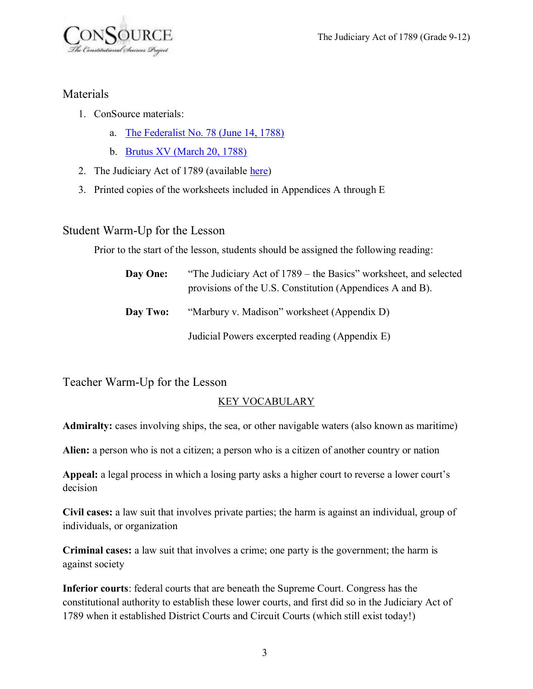

## **Materials**

- 1. ConSource materials:
	- a. The Federalist [No. 78 \(June 14, 1788\)](http://consource.org/document/the-federalist-no-78-1788-6-14/)
	- b. [Brutus XV \(March 20, 1788\)](mailto:http://consource.org/document/brutus-xv-1788-3-20/)
- 2. The Judiciary Act of 1789 (available [here\)](http://memory.loc.gov/cgi-bin/ampage?collId=llsl&fileName=001/llsl001.db&recNum=196)
- 3. Printed copies of the worksheets included in Appendices A through E

### Student Warm-Up for the Lesson

Prior to the start of the lesson, students should be assigned the following reading:

| Day One: | "The Judiciary Act of 1789 – the Basics" worksheet, and selected<br>provisions of the U.S. Constitution (Appendices A and B). |
|----------|-------------------------------------------------------------------------------------------------------------------------------|
| Day Two: | "Marbury v. Madison" worksheet (Appendix D)                                                                                   |
|          | Judicial Powers excerpted reading (Appendix E)                                                                                |

Teacher Warm-Up for the Lesson

### KEY VOCABULARY

**Admiralty:** cases involving ships, the sea, or other navigable waters (also known as maritime)

**Alien:** a person who is not a citizen; a person who is a citizen of another country or nation

**Appeal:** a legal process in which a losing party asks a higher court to reverse a lower court's decision

**Civil cases:** a law suit that involves private parties; the harm is against an individual, group of individuals, or organization

**Criminal cases:** a law suit that involves a crime; one party is the government; the harm is against society

**Inferior courts**: federal courts that are beneath the Supreme Court. Congress has the constitutional authority to establish these lower courts, and first did so in the Judiciary Act of 1789 when it established District Courts and Circuit Courts (which still exist today!)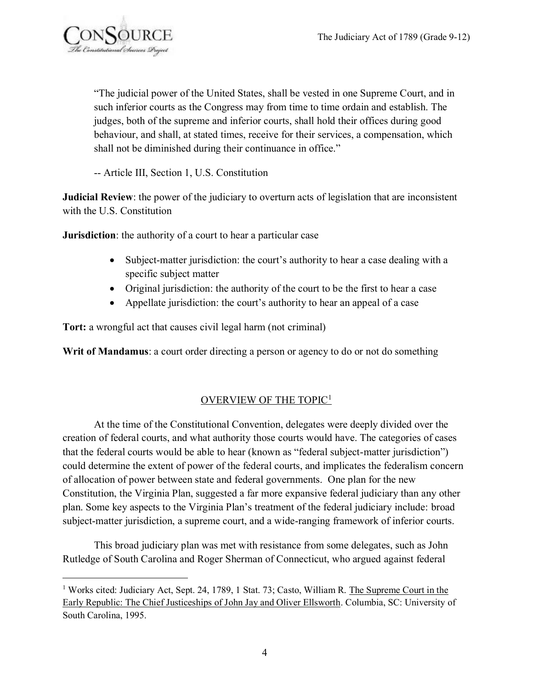

 $\overline{a}$ 

"The judicial power of the United States, shall be vested in one Supreme Court, and in such inferior courts as the Congress may from time to time ordain and establish. The judges, both of the supreme and inferior courts, shall hold their offices during good behaviour, and shall, at stated times, receive for their services, a compensation, which shall not be diminished during their continuance in office."

-- Article III, Section 1, U.S. Constitution

**Judicial Review**: the power of the judiciary to overturn acts of legislation that are inconsistent with the U.S. Constitution

**Jurisdiction**: the authority of a court to hear a particular case

- Subject-matter jurisdiction: the court's authority to hear a case dealing with a specific subject matter
- Original jurisdiction: the authority of the court to be the first to hear a case
- Appellate jurisdiction: the court's authority to hear an appeal of a case

**Tort:** a wrongful act that causes civil legal harm (not criminal)

**Writ of Mandamus**: a court order directing a person or agency to do or not do something

### OVERVIEW OF THE TOPIC<sup>1</sup>

At the time of the Constitutional Convention, delegates were deeply divided over the creation of federal courts, and what authority those courts would have. The categories of cases that the federal courts would be able to hear (known as "federal subject-matter jurisdiction") could determine the extent of power of the federal courts, and implicates the federalism concern of allocation of power between state and federal governments. One plan for the new Constitution, the Virginia Plan, suggested a far more expansive federal judiciary than any other plan. Some key aspects to the Virginia Plan's treatment of the federal judiciary include: broad subject-matter jurisdiction, a supreme court, and a wide-ranging framework of inferior courts.

This broad judiciary plan was met with resistance from some delegates, such as John Rutledge of South Carolina and Roger Sherman of Connecticut, who argued against federal

<sup>&</sup>lt;sup>1</sup> Works cited: Judiciary Act, Sept. 24, 1789, 1 Stat. 73; Casto, William R. The Supreme Court in the Early Republic: The Chief Justiceships of John Jay and Oliver Ellsworth. Columbia, SC: University of South Carolina, 1995.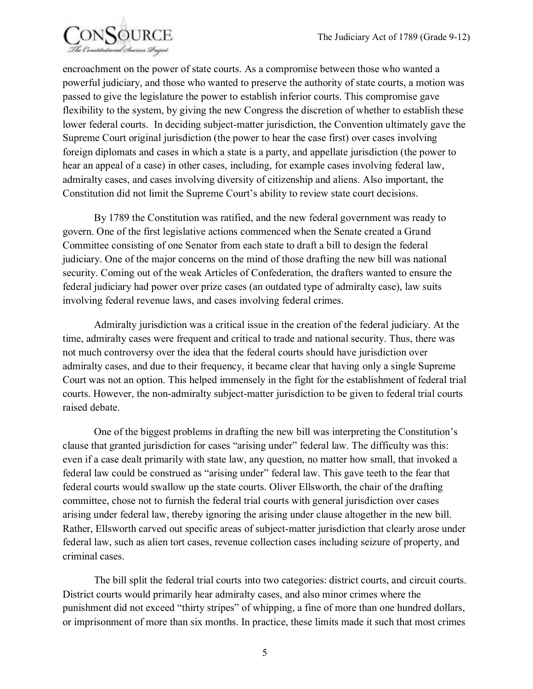

encroachment on the power of state courts. As a compromise between those who wanted a powerful judiciary, and those who wanted to preserve the authority of state courts, a motion was passed to give the legislature the power to establish inferior courts. This compromise gave flexibility to the system, by giving the new Congress the discretion of whether to establish these lower federal courts. In deciding subject-matter jurisdiction, the Convention ultimately gave the Supreme Court original jurisdiction (the power to hear the case first) over cases involving foreign diplomats and cases in which a state is a party, and appellate jurisdiction (the power to hear an appeal of a case) in other cases, including, for example cases involving federal law, admiralty cases, and cases involving diversity of citizenship and aliens. Also important, the Constitution did not limit the Supreme Court's ability to review state court decisions.

By 1789 the Constitution was ratified, and the new federal government was ready to govern. One of the first legislative actions commenced when the Senate created a Grand Committee consisting of one Senator from each state to draft a bill to design the federal judiciary. One of the major concerns on the mind of those drafting the new bill was national security. Coming out of the weak Articles of Confederation, the drafters wanted to ensure the federal judiciary had power over prize cases (an outdated type of admiralty case), law suits involving federal revenue laws, and cases involving federal crimes.

Admiralty jurisdiction was a critical issue in the creation of the federal judiciary. At the time, admiralty cases were frequent and critical to trade and national security. Thus, there was not much controversy over the idea that the federal courts should have jurisdiction over admiralty cases, and due to their frequency, it became clear that having only a single Supreme Court was not an option. This helped immensely in the fight for the establishment of federal trial courts. However, the non-admiralty subject-matter jurisdiction to be given to federal trial courts raised debate.

One of the biggest problems in drafting the new bill was interpreting the Constitution's clause that granted jurisdiction for cases "arising under" federal law. The difficulty was this: even if a case dealt primarily with state law, any question, no matter how small, that invoked a federal law could be construed as "arising under" federal law. This gave teeth to the fear that federal courts would swallow up the state courts. Oliver Ellsworth, the chair of the drafting committee, chose not to furnish the federal trial courts with general jurisdiction over cases arising under federal law, thereby ignoring the arising under clause altogether in the new bill. Rather, Ellsworth carved out specific areas of subject-matter jurisdiction that clearly arose under federal law, such as alien tort cases, revenue collection cases including seizure of property, and criminal cases.

The bill split the federal trial courts into two categories: district courts, and circuit courts. District courts would primarily hear admiralty cases, and also minor crimes where the punishment did not exceed "thirty stripes" of whipping, a fine of more than one hundred dollars, or imprisonment of more than six months. In practice, these limits made it such that most crimes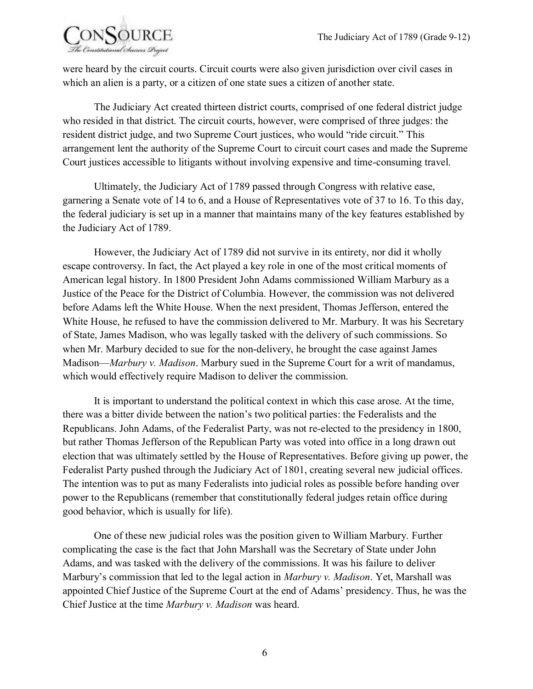

were heard by the circuit courts. Circuit courts were also given jurisdiction over civil cases in which an alien is a party, or a citizen of one state sues a citizen of another state.

The Judiciary Act created thirteen district courts, comprised of one federal district judge who resided in that district. The circuit courts, however, were comprised of three judges: the resident district judge, and two Supreme Court justices, who would "ride circuit." This arrangement lent the authority of the Supreme Court to circuit court cases and made the Supreme Court justices accessible to litigants without involving expensive and time-consuming travel.

Ultimately, the Judiciary Act of 1789 passed through Congress with relative ease, garnering a Senate vote of 14 to 6, and a House of Representatives vote of 37 to 16. To this day, the federal judiciary is set up in a manner that maintains many of the key features established by the Judiciary Act of 1789.

However, the Judiciary Act of 1789 did not survive in its entirety, nor did it wholly escape controversy. In fact, the Act played a key role in one of the most critical moments of American legal history. In 1800 President John Adams commissioned William Marbury as a Justice of the Peace for the District of Columbia. However, the commission was not delivered before Adams left the White House. When the next president, Thomas Jefferson, entered the White House, he refused to have the commission delivered to Mr. Marbury. It was his Secretary of State, James Madison, who was legally tasked with the delivery of such commissions. So when Mr. Marbury decided to sue for the non-delivery, he brought the case against James Madison—*Marbury v. Madison*. Marbury sued in the Supreme Court for a writ of mandamus, which would effectively require Madison to deliver the commission.

It is important to understand the political context in which this case arose. At the time, there was a bitter divide between the nation's two political parties: the Federalists and the Republicans. John Adams, of the Federalist Party, was not re-elected to the presidency in 1800, but rather Thomas Jefferson of the Republican Party was voted into office in a long drawn out election that was ultimately settled by the House of Representatives. Before giving up power, the Federalist Party pushed through the Judiciary Act of 1801, creating several new judicial offices. The intention was to put as many Federalists into judicial roles as possible before handing over power to the Republicans (remember that constitutionally federal judges retain office during good behavior, which is usually for life).

One of these new judicial roles was the position given to William Marbury. Further complicating the case is the fact that John Marshall was the Secretary of State under John Adams, and was tasked with the delivery of the commissions. It was his failure to deliver Marbury's commission that led to the legal action in *Marbury v. Madison*. Yet, Marshall was appointed Chief Justice of the Supreme Court at the end of Adams' presidency. Thus, he was the Chief Justice at the time *Marbury v. Madison* was heard.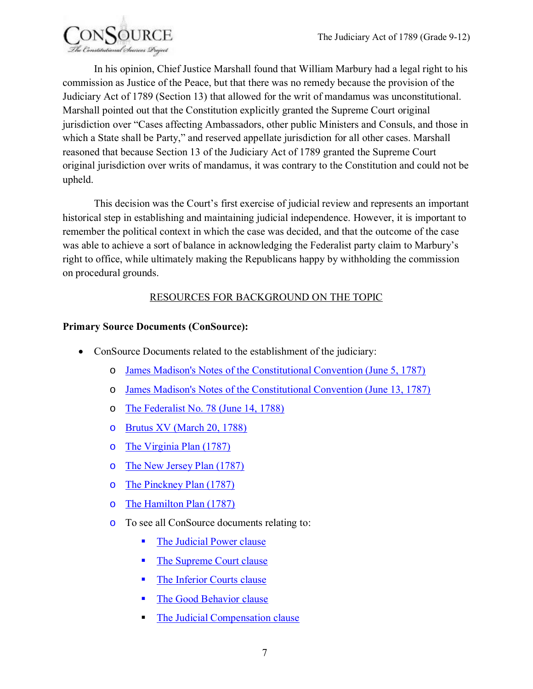

In his opinion, Chief Justice Marshall found that William Marbury had a legal right to his commission as Justice of the Peace, but that there was no remedy because the provision of the Judiciary Act of 1789 (Section 13) that allowed for the writ of mandamus was unconstitutional. Marshall pointed out that the Constitution explicitly granted the Supreme Court original jurisdiction over "Cases affecting Ambassadors, other public Ministers and Consuls, and those in which a State shall be Party," and reserved appellate jurisdiction for all other cases. Marshall reasoned that because Section 13 of the Judiciary Act of 1789 granted the Supreme Court original jurisdiction over writs of mandamus, it was contrary to the Constitution and could not be upheld.

This decision was the Court's first exercise of judicial review and represents an important historical step in establishing and maintaining judicial independence. However, it is important to remember the political context in which the case was decided, and that the outcome of the case was able to achieve a sort of balance in acknowledging the Federalist party claim to Marbury's right to office, while ultimately making the Republicans happy by withholding the commission on procedural grounds.

### RESOURCES FOR BACKGROUND ON THE TOPIC

### **Primary Source Documents (ConSource):**

- ConSource Documents related to the establishment of the judiciary:
	- o James Madison's Notes of the [Constitutional Convention \(June 5, 1787\)](http://consource.org/document/james-madisons-notes-of-the-constitutional-convention-1787-6-5/)
	- o [James Madison's Notes of the Constitutional Convention \(June 13, 1787\)](http://consource.org/document/james-madisons-notes-of-the-constitutional-convention-1787-6-13/)
	- o [The Federalist No. 78 \(June 14, 1788\)](http://consource.org/document/the-federalist-no-78-1788-6-14/)
	- o [Brutus XV \(March 20, 1788\)](mailto:http://consource.org/document/brutus-xv-1788-3-20/)
	- o [The Virginia Plan \(1787\)](http://consource.org/document/the-virginia-plan-or-randolph-resolutions-1787/)
	- o [The New Jersey Plan \(1787\)](http://consource.org/document/the-new-jersey-plan-or-paterson-resolutions-1787/)
	- o [The Pinckney Plan \(1787\)](http://consource.org/document/the-pinckney-plan-1787/)
	- o [The Hamilton Plan \(1787\)](http://consource.org/document/the-hamilton-plan-1787/)
	- o To see all ConSource documents relating to:
		- [The Judicial Power clause](http://consource.org/library/?type=&topics=judicial-power-clausejudicial-vesting-clause&collections=&deep=&sort=date)
		- [The Supreme Court clause](http://consource.org/library/?type=&topics=supreme-court-clause&collections=&deep=&sort=date)
		- The [Inferior Courts clause](http://consource.org/library/?type=&topics=inferior-courts-clause&collections=&deep=&sort=date)
		- **The [Good Behavior clause](http://consource.org/library/?type=&topics=good-behavior-clause&collections=&deep=&sort=date)**
		- [The Judicial Compensation clause](http://consource.org/library/?type=&topics=judicial-compensation-clause&collections=&deep=&sort=date)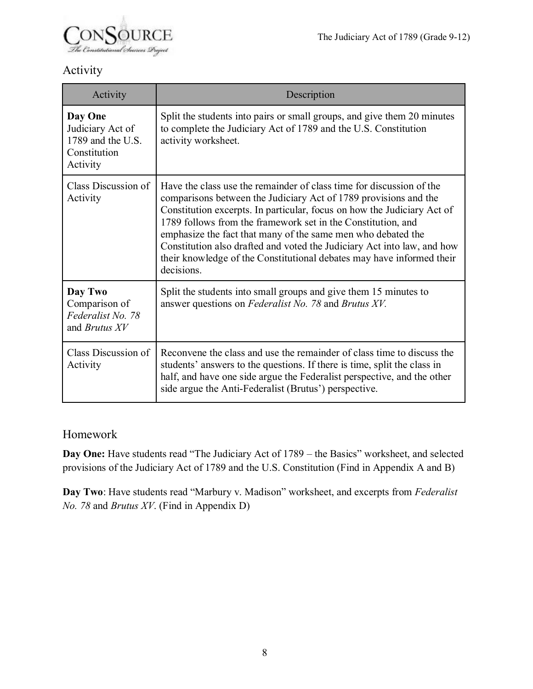



## Activity

| Activity                                                                     | Description                                                                                                                                                                                                                                                                                                                                                                                                                                                                                                           |  |  |
|------------------------------------------------------------------------------|-----------------------------------------------------------------------------------------------------------------------------------------------------------------------------------------------------------------------------------------------------------------------------------------------------------------------------------------------------------------------------------------------------------------------------------------------------------------------------------------------------------------------|--|--|
| Day One<br>Judiciary Act of<br>1789 and the U.S.<br>Constitution<br>Activity | Split the students into pairs or small groups, and give them 20 minutes<br>to complete the Judiciary Act of 1789 and the U.S. Constitution<br>activity worksheet.                                                                                                                                                                                                                                                                                                                                                     |  |  |
| Class Discussion of<br>Activity                                              | Have the class use the remainder of class time for discussion of the<br>comparisons between the Judiciary Act of 1789 provisions and the<br>Constitution excerpts. In particular, focus on how the Judiciary Act of<br>1789 follows from the framework set in the Constitution, and<br>emphasize the fact that many of the same men who debated the<br>Constitution also drafted and voted the Judiciary Act into law, and how<br>their knowledge of the Constitutional debates may have informed their<br>decisions. |  |  |
| Day Two<br>Comparison of<br>Federalist No. 78<br>and <i>Brutus XV</i>        | Split the students into small groups and give them 15 minutes to<br>answer questions on Federalist No. 78 and Brutus XV.                                                                                                                                                                                                                                                                                                                                                                                              |  |  |
| Class Discussion of<br>Activity                                              | Reconvene the class and use the remainder of class time to discuss the<br>students' answers to the questions. If there is time, split the class in<br>half, and have one side argue the Federalist perspective, and the other<br>side argue the Anti-Federalist (Brutus') perspective.                                                                                                                                                                                                                                |  |  |

## Homework

Day One: Have students read "The Judiciary Act of 1789 – the Basics" worksheet, and selected provisions of the Judiciary Act of 1789 and the U.S. Constitution (Find in Appendix A and B)

**Day Two**: Have students read "Marbury v. Madison" worksheet, and excerpts from *Federalist No. 78* and *Brutus XV*. (Find in Appendix D)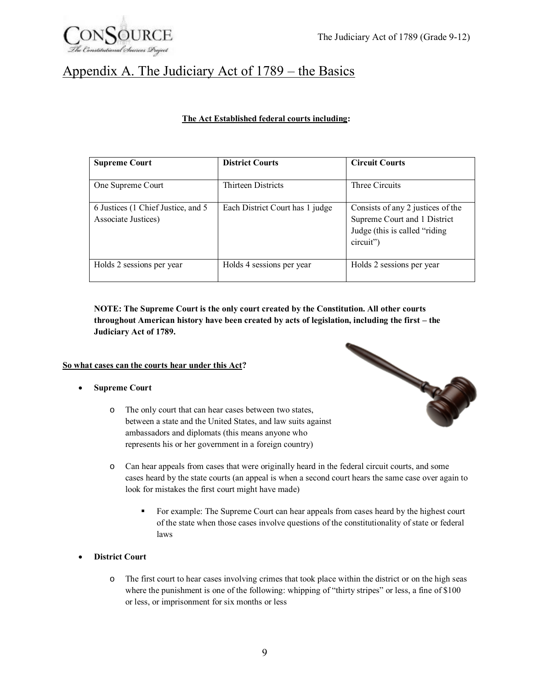

## Appendix A. The Judiciary Act of 1789 – the Basics

#### **The Act Established federal courts including:**

| <b>Supreme Court</b>                                      | <b>District Courts</b>          | <b>Circuit Courts</b>                                                                                             |
|-----------------------------------------------------------|---------------------------------|-------------------------------------------------------------------------------------------------------------------|
| One Supreme Court                                         | Thirteen Districts              | Three Circuits                                                                                                    |
| 6 Justices (1 Chief Justice, and 5<br>Associate Justices) | Each District Court has 1 judge | Consists of any 2 justices of the<br>Supreme Court and 1 District<br>Judge (this is called "riding")<br>circuit") |
| Holds 2 sessions per year                                 | Holds 4 sessions per year       | Holds 2 sessions per year                                                                                         |

**NOTE: The Supreme Court is the only court created by the Constitution. All other courts throughout American history have been created by acts of legislation, including the first – the Judiciary Act of 1789.** 

#### **So what cases can the courts hear under this Act?**

- **Supreme Court**
	- o The only court that can hear cases between two states, between a state and the United States, and law suits against ambassadors and diplomats (this means anyone who represents his or her government in a foreign country)



- o Can hear appeals from cases that were originally heard in the federal circuit courts, and some cases heard by the state courts (an appeal is when a second court hears the same case over again to look for mistakes the first court might have made)
	- For example: The Supreme Court can hear appeals from cases heard by the highest court of the state when those cases involve questions of the constitutionality of state or federal laws
- **District Court**
	- o The first court to hear cases involving crimes that took place within the district or on the high seas where the punishment is one of the following: whipping of "thirty stripes" or less, a fine of \$100 or less, or imprisonment for six months or less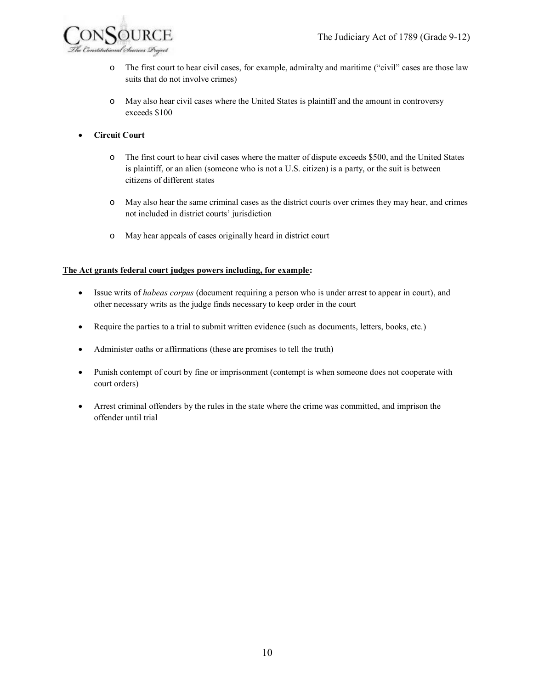

- o The first court to hear civil cases, for example, admiralty and maritime ("civil" cases are those law suits that do not involve crimes)
- o May also hear civil cases where the United States is plaintiff and the amount in controversy exceeds \$100
- **Circuit Court**
	- o The first court to hear civil cases where the matter of dispute exceeds \$500, and the United States is plaintiff, or an alien (someone who is not a U.S. citizen) is a party, or the suit is between citizens of different states
	- o May also hear the same criminal cases as the district courts over crimes they may hear, and crimes not included in district courts' jurisdiction
	- o May hear appeals of cases originally heard in district court

#### **The Act grants federal court judges powers including, for example:**

- Issue writs of *habeas corpus* (document requiring a person who is under arrest to appear in court), and other necessary writs as the judge finds necessary to keep order in the court
- Require the parties to a trial to submit written evidence (such as documents, letters, books, etc.)
- Administer oaths or affirmations (these are promises to tell the truth)
- Punish contempt of court by fine or imprisonment (contempt is when someone does not cooperate with court orders)
- Arrest criminal offenders by the rules in the state where the crime was committed, and imprison the offender until trial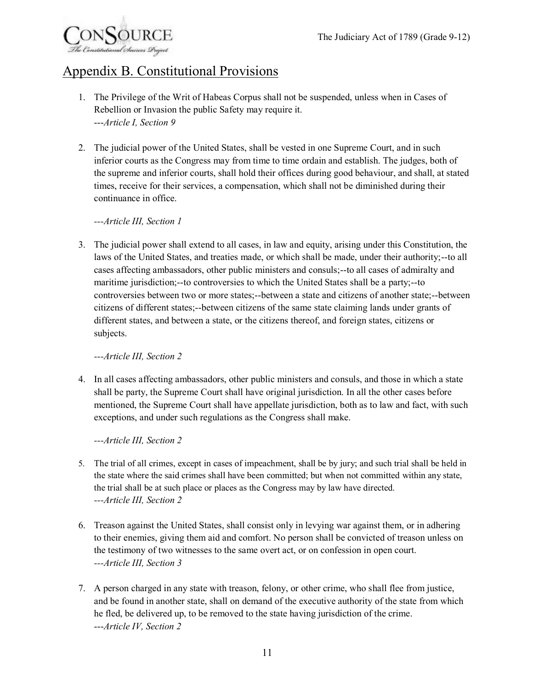

# Appendix B. Constitutional Provisions

- 1. The Privilege of the Writ of Habeas Corpus shall not be suspended, unless when in Cases of Rebellion or Invasion the public Safety may require it. ---*Article I, Section 9*
- 2. The judicial power of the United States, shall be vested in one Supreme Court, and in such inferior courts as the Congress may from time to time ordain and establish. The judges, both of the supreme and inferior courts, shall hold their offices during good behaviour, and shall, at stated times, receive for their services, a compensation, which shall not be diminished during their continuance in office.

*---Article III, Section 1*

3. The judicial power shall extend to all cases, in law and equity, arising under this Constitution, the laws of the United States, and treaties made, or which shall be made, under their authority;--to all cases affecting ambassadors, other public ministers and consuls;--to all cases of admiralty and maritime jurisdiction;--to controversies to which the United States shall be a party;--to controversies between two or more states;--between a state and citizens of another state;--between citizens of different states;--between citizens of the same state claiming lands under grants of different states, and between a state, or the citizens thereof, and foreign states, citizens or subjects.

*---Article III, Section 2*

4. In all cases affecting ambassadors, other public ministers and consuls, and those in which a state shall be party, the Supreme Court shall have original jurisdiction. In all the other cases before mentioned, the Supreme Court shall have appellate jurisdiction, both as to law and fact, with such exceptions, and under such regulations as the Congress shall make.

*---Article III, Section 2*

- 5. The trial of all crimes, except in cases of impeachment, shall be by jury; and such trial shall be held in the state where the said crimes shall have been committed; but when not committed within any state, the trial shall be at such place or places as the Congress may by law have directed. *---Article III, Section 2*
- 6. Treason against the United States, shall consist only in levying war against them, or in adhering to their enemies, giving them aid and comfort. No person shall be convicted of treason unless on the testimony of two witnesses to the same overt act, or on confession in open court. *---Article III, Section 3*
- 7. A person charged in any state with treason, felony, or other crime, who shall flee from justice, and be found in another state, shall on demand of the executive authority of the state from which he fled, be delivered up, to be removed to the state having jurisdiction of the crime. ---*Article IV, Section 2*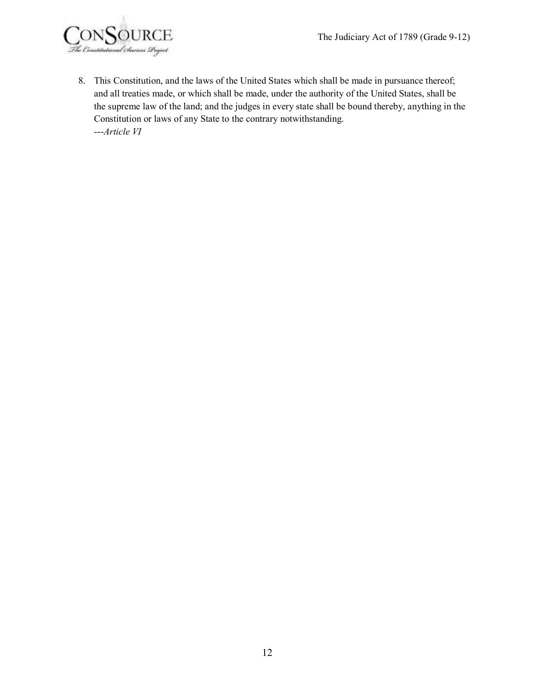

8. This Constitution, and the laws of the United States which shall be made in pursuance thereof; and all treaties made, or which shall be made, under the authority of the United States, shall be the supreme law of the land; and the judges in every state shall be bound thereby, anything in the Constitution or laws of any State to the contrary notwithstanding. ---*Article VI*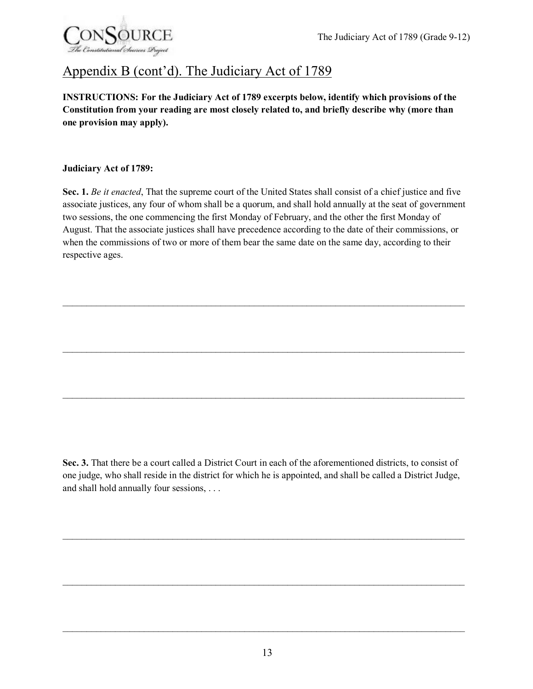

## Appendix B (cont'd). The Judiciary Act of 1789

**INSTRUCTIONS: For the Judiciary Act of 1789 excerpts below, identify which provisions of the Constitution from your reading are most closely related to, and briefly describe why (more than one provision may apply).** 

### **Judiciary Act of 1789:**

**Sec. 1.** *Be it enacted*, That the supreme court of the United States shall consist of a chief justice and five associate justices, any four of whom shall be a quorum, and shall hold annually at the seat of government two sessions, the one commencing the first Monday of February, and the other the first Monday of August. That the associate justices shall have precedence according to the date of their commissions, or when the commissions of two or more of them bear the same date on the same day, according to their respective ages.

 $\mathcal{L}_\mathcal{L} = \mathcal{L}_\mathcal{L} = \mathcal{L}_\mathcal{L} = \mathcal{L}_\mathcal{L} = \mathcal{L}_\mathcal{L} = \mathcal{L}_\mathcal{L} = \mathcal{L}_\mathcal{L} = \mathcal{L}_\mathcal{L} = \mathcal{L}_\mathcal{L} = \mathcal{L}_\mathcal{L} = \mathcal{L}_\mathcal{L} = \mathcal{L}_\mathcal{L} = \mathcal{L}_\mathcal{L} = \mathcal{L}_\mathcal{L} = \mathcal{L}_\mathcal{L} = \mathcal{L}_\mathcal{L} = \mathcal{L}_\mathcal{L}$ 

\_\_\_\_\_\_\_\_\_\_\_\_\_\_\_\_\_\_\_\_\_\_\_\_\_\_\_\_\_\_\_\_\_\_\_\_\_\_\_\_\_\_\_\_\_\_\_\_\_\_\_\_\_\_\_\_\_\_\_\_\_\_\_\_\_\_\_\_\_\_\_\_\_\_\_\_\_\_\_\_\_\_\_\_

\_\_\_\_\_\_\_\_\_\_\_\_\_\_\_\_\_\_\_\_\_\_\_\_\_\_\_\_\_\_\_\_\_\_\_\_\_\_\_\_\_\_\_\_\_\_\_\_\_\_\_\_\_\_\_\_\_\_\_\_\_\_\_\_\_\_\_\_\_\_\_\_\_\_\_\_\_\_\_\_\_\_\_\_

**Sec. 3.** That there be a court called a District Court in each of the aforementioned districts, to consist of one judge, who shall reside in the district for which he is appointed, and shall be called a District Judge, and shall hold annually four sessions, . . .

 $\mathcal{L}_\mathcal{L} = \mathcal{L}_\mathcal{L} = \mathcal{L}_\mathcal{L} = \mathcal{L}_\mathcal{L} = \mathcal{L}_\mathcal{L} = \mathcal{L}_\mathcal{L} = \mathcal{L}_\mathcal{L} = \mathcal{L}_\mathcal{L} = \mathcal{L}_\mathcal{L} = \mathcal{L}_\mathcal{L} = \mathcal{L}_\mathcal{L} = \mathcal{L}_\mathcal{L} = \mathcal{L}_\mathcal{L} = \mathcal{L}_\mathcal{L} = \mathcal{L}_\mathcal{L} = \mathcal{L}_\mathcal{L} = \mathcal{L}_\mathcal{L}$ 

\_\_\_\_\_\_\_\_\_\_\_\_\_\_\_\_\_\_\_\_\_\_\_\_\_\_\_\_\_\_\_\_\_\_\_\_\_\_\_\_\_\_\_\_\_\_\_\_\_\_\_\_\_\_\_\_\_\_\_\_\_\_\_\_\_\_\_\_\_\_\_\_\_\_\_\_\_\_\_\_\_\_\_\_

\_\_\_\_\_\_\_\_\_\_\_\_\_\_\_\_\_\_\_\_\_\_\_\_\_\_\_\_\_\_\_\_\_\_\_\_\_\_\_\_\_\_\_\_\_\_\_\_\_\_\_\_\_\_\_\_\_\_\_\_\_\_\_\_\_\_\_\_\_\_\_\_\_\_\_\_\_\_\_\_\_\_\_\_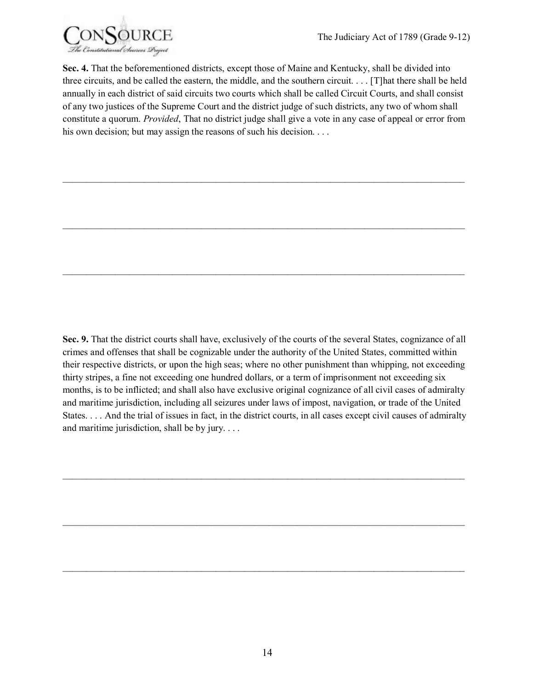

**Sec. 4.** That the beforementioned districts, except those of Maine and Kentucky, shall be divided into three circuits, and be called the eastern, the middle, and the southern circuit. . . . [T]hat there shall be held annually in each district of said circuits two courts which shall be called Circuit Courts, and shall consist of any two justices of the Supreme Court and the district judge of such districts, any two of whom shall constitute a quorum. *Provided*, That no district judge shall give a vote in any case of appeal or error from his own decision; but may assign the reasons of such his decision. . . .

\_\_\_\_\_\_\_\_\_\_\_\_\_\_\_\_\_\_\_\_\_\_\_\_\_\_\_\_\_\_\_\_\_\_\_\_\_\_\_\_\_\_\_\_\_\_\_\_\_\_\_\_\_\_\_\_\_\_\_\_\_\_\_\_\_\_\_\_\_\_\_\_\_\_\_\_\_\_\_\_\_\_\_\_

\_\_\_\_\_\_\_\_\_\_\_\_\_\_\_\_\_\_\_\_\_\_\_\_\_\_\_\_\_\_\_\_\_\_\_\_\_\_\_\_\_\_\_\_\_\_\_\_\_\_\_\_\_\_\_\_\_\_\_\_\_\_\_\_\_\_\_\_\_\_\_\_\_\_\_\_\_\_\_\_\_\_\_\_

 $\mathcal{L}_\mathcal{L} = \mathcal{L}_\mathcal{L} = \mathcal{L}_\mathcal{L} = \mathcal{L}_\mathcal{L} = \mathcal{L}_\mathcal{L} = \mathcal{L}_\mathcal{L} = \mathcal{L}_\mathcal{L} = \mathcal{L}_\mathcal{L} = \mathcal{L}_\mathcal{L} = \mathcal{L}_\mathcal{L} = \mathcal{L}_\mathcal{L} = \mathcal{L}_\mathcal{L} = \mathcal{L}_\mathcal{L} = \mathcal{L}_\mathcal{L} = \mathcal{L}_\mathcal{L} = \mathcal{L}_\mathcal{L} = \mathcal{L}_\mathcal{L}$ 

**Sec. 9.** That the district courts shall have, exclusively of the courts of the several States, cognizance of all crimes and offenses that shall be cognizable under the authority of the United States, committed within their respective districts, or upon the high seas; where no other punishment than whipping, not exceeding thirty stripes, a fine not exceeding one hundred dollars, or a term of imprisonment not exceeding six months, is to be inflicted; and shall also have exclusive original cognizance of all civil cases of admiralty and maritime jurisdiction, including all seizures under laws of impost, navigation, or trade of the United States. . . . And the trial of issues in fact, in the district courts, in all cases except civil causes of admiralty and maritime jurisdiction, shall be by jury. . . .

 $\mathcal{L}_\mathcal{L} = \mathcal{L}_\mathcal{L} = \mathcal{L}_\mathcal{L} = \mathcal{L}_\mathcal{L} = \mathcal{L}_\mathcal{L} = \mathcal{L}_\mathcal{L} = \mathcal{L}_\mathcal{L} = \mathcal{L}_\mathcal{L} = \mathcal{L}_\mathcal{L} = \mathcal{L}_\mathcal{L} = \mathcal{L}_\mathcal{L} = \mathcal{L}_\mathcal{L} = \mathcal{L}_\mathcal{L} = \mathcal{L}_\mathcal{L} = \mathcal{L}_\mathcal{L} = \mathcal{L}_\mathcal{L} = \mathcal{L}_\mathcal{L}$ 

\_\_\_\_\_\_\_\_\_\_\_\_\_\_\_\_\_\_\_\_\_\_\_\_\_\_\_\_\_\_\_\_\_\_\_\_\_\_\_\_\_\_\_\_\_\_\_\_\_\_\_\_\_\_\_\_\_\_\_\_\_\_\_\_\_\_\_\_\_\_\_\_\_\_\_\_\_\_\_\_\_\_\_\_

 $\mathcal{L}_\mathcal{L} = \mathcal{L}_\mathcal{L} = \mathcal{L}_\mathcal{L} = \mathcal{L}_\mathcal{L} = \mathcal{L}_\mathcal{L} = \mathcal{L}_\mathcal{L} = \mathcal{L}_\mathcal{L} = \mathcal{L}_\mathcal{L} = \mathcal{L}_\mathcal{L} = \mathcal{L}_\mathcal{L} = \mathcal{L}_\mathcal{L} = \mathcal{L}_\mathcal{L} = \mathcal{L}_\mathcal{L} = \mathcal{L}_\mathcal{L} = \mathcal{L}_\mathcal{L} = \mathcal{L}_\mathcal{L} = \mathcal{L}_\mathcal{L}$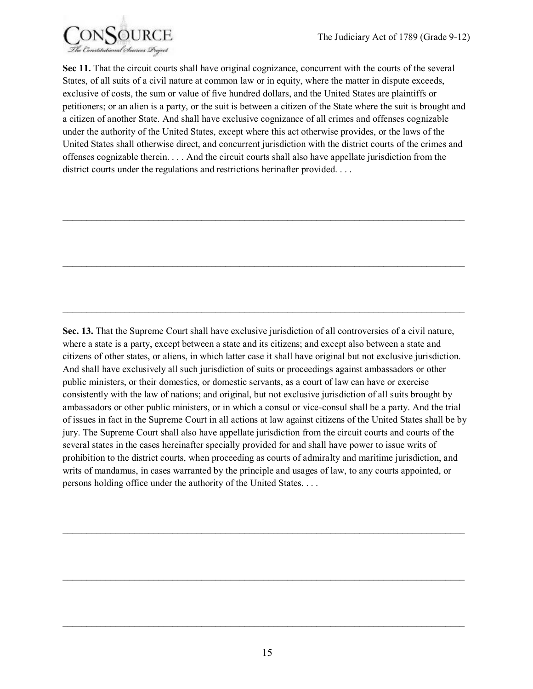

**Sec 11.** That the circuit courts shall have original cognizance, concurrent with the courts of the several States, of all suits of a civil nature at common law or in equity, where the matter in dispute exceeds, exclusive of costs, the sum or value of five hundred dollars, and the United States are plaintiffs or petitioners; or an alien is a party, or the suit is between a citizen of the State where the suit is brought and a citizen of another State. And shall have exclusive cognizance of all crimes and offenses cognizable under the authority of the United States, except where this act otherwise provides, or the laws of the United States shall otherwise direct, and concurrent jurisdiction with the district courts of the crimes and offenses cognizable therein. . . . And the circuit courts shall also have appellate jurisdiction from the district courts under the regulations and restrictions herinafter provided. . . .

 $\mathcal{L}_\mathcal{L} = \mathcal{L}_\mathcal{L} = \mathcal{L}_\mathcal{L} = \mathcal{L}_\mathcal{L} = \mathcal{L}_\mathcal{L} = \mathcal{L}_\mathcal{L} = \mathcal{L}_\mathcal{L} = \mathcal{L}_\mathcal{L} = \mathcal{L}_\mathcal{L} = \mathcal{L}_\mathcal{L} = \mathcal{L}_\mathcal{L} = \mathcal{L}_\mathcal{L} = \mathcal{L}_\mathcal{L} = \mathcal{L}_\mathcal{L} = \mathcal{L}_\mathcal{L} = \mathcal{L}_\mathcal{L} = \mathcal{L}_\mathcal{L}$ 

\_\_\_\_\_\_\_\_\_\_\_\_\_\_\_\_\_\_\_\_\_\_\_\_\_\_\_\_\_\_\_\_\_\_\_\_\_\_\_\_\_\_\_\_\_\_\_\_\_\_\_\_\_\_\_\_\_\_\_\_\_\_\_\_\_\_\_\_\_\_\_\_\_\_\_\_\_\_\_\_\_\_\_\_

\_\_\_\_\_\_\_\_\_\_\_\_\_\_\_\_\_\_\_\_\_\_\_\_\_\_\_\_\_\_\_\_\_\_\_\_\_\_\_\_\_\_\_\_\_\_\_\_\_\_\_\_\_\_\_\_\_\_\_\_\_\_\_\_\_\_\_\_\_\_\_\_\_\_\_\_\_\_\_\_\_\_\_\_

**Sec. 13.** That the Supreme Court shall have exclusive jurisdiction of all controversies of a civil nature, where a state is a party, except between a state and its citizens; and except also between a state and citizens of other states, or aliens, in which latter case it shall have original but not exclusive jurisdiction. And shall have exclusively all such jurisdiction of suits or proceedings against ambassadors or other public ministers, or their domestics, or domestic servants, as a court of law can have or exercise consistently with the law of nations; and original, but not exclusive jurisdiction of all suits brought by ambassadors or other public ministers, or in which a consul or vice-consul shall be a party. And the trial of issues in fact in the Supreme Court in all actions at law against citizens of the United States shall be by jury. The Supreme Court shall also have appellate jurisdiction from the circuit courts and courts of the several states in the cases hereinafter specially provided for and shall have power to issue writs of prohibition to the district courts, when proceeding as courts of admiralty and maritime jurisdiction, and writs of mandamus, in cases warranted by the principle and usages of law, to any courts appointed, or persons holding office under the authority of the United States. . . .

 $\mathcal{L}_\mathcal{L} = \mathcal{L}_\mathcal{L} = \mathcal{L}_\mathcal{L} = \mathcal{L}_\mathcal{L} = \mathcal{L}_\mathcal{L} = \mathcal{L}_\mathcal{L} = \mathcal{L}_\mathcal{L} = \mathcal{L}_\mathcal{L} = \mathcal{L}_\mathcal{L} = \mathcal{L}_\mathcal{L} = \mathcal{L}_\mathcal{L} = \mathcal{L}_\mathcal{L} = \mathcal{L}_\mathcal{L} = \mathcal{L}_\mathcal{L} = \mathcal{L}_\mathcal{L} = \mathcal{L}_\mathcal{L} = \mathcal{L}_\mathcal{L}$ 

 $\mathcal{L}_\mathcal{L} = \mathcal{L}_\mathcal{L} = \mathcal{L}_\mathcal{L} = \mathcal{L}_\mathcal{L} = \mathcal{L}_\mathcal{L} = \mathcal{L}_\mathcal{L} = \mathcal{L}_\mathcal{L} = \mathcal{L}_\mathcal{L} = \mathcal{L}_\mathcal{L} = \mathcal{L}_\mathcal{L} = \mathcal{L}_\mathcal{L} = \mathcal{L}_\mathcal{L} = \mathcal{L}_\mathcal{L} = \mathcal{L}_\mathcal{L} = \mathcal{L}_\mathcal{L} = \mathcal{L}_\mathcal{L} = \mathcal{L}_\mathcal{L}$ 

\_\_\_\_\_\_\_\_\_\_\_\_\_\_\_\_\_\_\_\_\_\_\_\_\_\_\_\_\_\_\_\_\_\_\_\_\_\_\_\_\_\_\_\_\_\_\_\_\_\_\_\_\_\_\_\_\_\_\_\_\_\_\_\_\_\_\_\_\_\_\_\_\_\_\_\_\_\_\_\_\_\_\_\_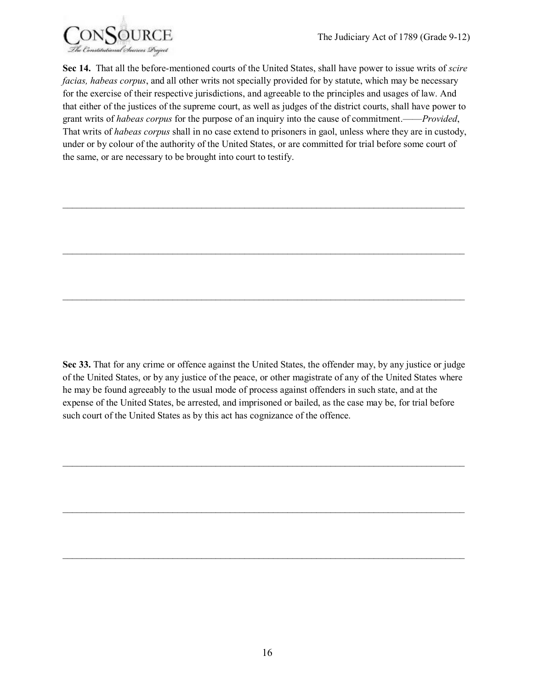

**Sec 14.** That all the before-mentioned courts of the United States, shall have power to issue writs of *scire facias, habeas corpus*, and all other writs not specially provided for by statute, which may be necessary for the exercise of their respective jurisdictions, and agreeable to the principles and usages of law. And that either of the justices of the supreme court, as well as judges of the district courts, shall have power to grant writs of *habeas corpus* for the purpose of an inquiry into the cause of commitment.——*Provided*, That writs of *habeas corpus* shall in no case extend to prisoners in gaol, unless where they are in custody, under or by colour of the authority of the United States, or are committed for trial before some court of the same, or are necessary to be brought into court to testify.

\_\_\_\_\_\_\_\_\_\_\_\_\_\_\_\_\_\_\_\_\_\_\_\_\_\_\_\_\_\_\_\_\_\_\_\_\_\_\_\_\_\_\_\_\_\_\_\_\_\_\_\_\_\_\_\_\_\_\_\_\_\_\_\_\_\_\_\_\_\_\_\_\_\_\_\_\_\_\_\_\_\_\_\_

 $\mathcal{L}_\mathcal{L} = \mathcal{L}_\mathcal{L} = \mathcal{L}_\mathcal{L} = \mathcal{L}_\mathcal{L} = \mathcal{L}_\mathcal{L} = \mathcal{L}_\mathcal{L} = \mathcal{L}_\mathcal{L} = \mathcal{L}_\mathcal{L} = \mathcal{L}_\mathcal{L} = \mathcal{L}_\mathcal{L} = \mathcal{L}_\mathcal{L} = \mathcal{L}_\mathcal{L} = \mathcal{L}_\mathcal{L} = \mathcal{L}_\mathcal{L} = \mathcal{L}_\mathcal{L} = \mathcal{L}_\mathcal{L} = \mathcal{L}_\mathcal{L}$ 

 $\mathcal{L}_\mathcal{L} = \mathcal{L}_\mathcal{L} = \mathcal{L}_\mathcal{L} = \mathcal{L}_\mathcal{L} = \mathcal{L}_\mathcal{L} = \mathcal{L}_\mathcal{L} = \mathcal{L}_\mathcal{L} = \mathcal{L}_\mathcal{L} = \mathcal{L}_\mathcal{L} = \mathcal{L}_\mathcal{L} = \mathcal{L}_\mathcal{L} = \mathcal{L}_\mathcal{L} = \mathcal{L}_\mathcal{L} = \mathcal{L}_\mathcal{L} = \mathcal{L}_\mathcal{L} = \mathcal{L}_\mathcal{L} = \mathcal{L}_\mathcal{L}$ 

**Sec 33.** That for any crime or offence against the United States, the offender may, by any justice or judge of the United States, or by any justice of the peace, or other magistrate of any of the United States where he may be found agreeably to the usual mode of process against offenders in such state, and at the expense of the United States, be arrested, and imprisoned or bailed, as the case may be, for trial before such court of the United States as by this act has cognizance of the offence.

\_\_\_\_\_\_\_\_\_\_\_\_\_\_\_\_\_\_\_\_\_\_\_\_\_\_\_\_\_\_\_\_\_\_\_\_\_\_\_\_\_\_\_\_\_\_\_\_\_\_\_\_\_\_\_\_\_\_\_\_\_\_\_\_\_\_\_\_\_\_\_\_\_\_\_\_\_\_\_\_\_\_\_\_

 $\mathcal{L}_\mathcal{L} = \mathcal{L}_\mathcal{L} = \mathcal{L}_\mathcal{L} = \mathcal{L}_\mathcal{L} = \mathcal{L}_\mathcal{L} = \mathcal{L}_\mathcal{L} = \mathcal{L}_\mathcal{L} = \mathcal{L}_\mathcal{L} = \mathcal{L}_\mathcal{L} = \mathcal{L}_\mathcal{L} = \mathcal{L}_\mathcal{L} = \mathcal{L}_\mathcal{L} = \mathcal{L}_\mathcal{L} = \mathcal{L}_\mathcal{L} = \mathcal{L}_\mathcal{L} = \mathcal{L}_\mathcal{L} = \mathcal{L}_\mathcal{L}$ 

 $\mathcal{L}_\mathcal{L} = \mathcal{L}_\mathcal{L} = \mathcal{L}_\mathcal{L} = \mathcal{L}_\mathcal{L} = \mathcal{L}_\mathcal{L} = \mathcal{L}_\mathcal{L} = \mathcal{L}_\mathcal{L} = \mathcal{L}_\mathcal{L} = \mathcal{L}_\mathcal{L} = \mathcal{L}_\mathcal{L} = \mathcal{L}_\mathcal{L} = \mathcal{L}_\mathcal{L} = \mathcal{L}_\mathcal{L} = \mathcal{L}_\mathcal{L} = \mathcal{L}_\mathcal{L} = \mathcal{L}_\mathcal{L} = \mathcal{L}_\mathcal{L}$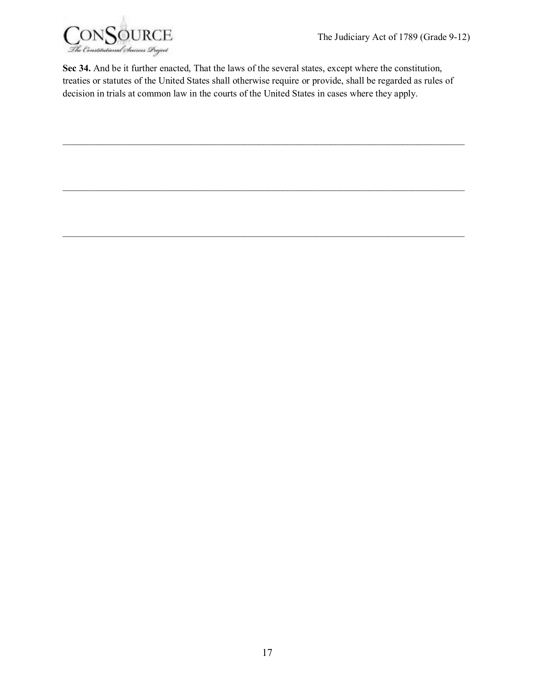

**Sec 34.** And be it further enacted, That the laws of the several states, except where the constitution, treaties or statutes of the United States shall otherwise require or provide, shall be regarded as rules of decision in trials at common law in the courts of the United States in cases where they apply.

 $\mathcal{L}_\mathcal{L} = \mathcal{L}_\mathcal{L} = \mathcal{L}_\mathcal{L} = \mathcal{L}_\mathcal{L} = \mathcal{L}_\mathcal{L} = \mathcal{L}_\mathcal{L} = \mathcal{L}_\mathcal{L} = \mathcal{L}_\mathcal{L} = \mathcal{L}_\mathcal{L} = \mathcal{L}_\mathcal{L} = \mathcal{L}_\mathcal{L} = \mathcal{L}_\mathcal{L} = \mathcal{L}_\mathcal{L} = \mathcal{L}_\mathcal{L} = \mathcal{L}_\mathcal{L} = \mathcal{L}_\mathcal{L} = \mathcal{L}_\mathcal{L}$ 

 $\mathcal{L}_\mathcal{L} = \mathcal{L}_\mathcal{L} = \mathcal{L}_\mathcal{L} = \mathcal{L}_\mathcal{L} = \mathcal{L}_\mathcal{L} = \mathcal{L}_\mathcal{L} = \mathcal{L}_\mathcal{L} = \mathcal{L}_\mathcal{L} = \mathcal{L}_\mathcal{L} = \mathcal{L}_\mathcal{L} = \mathcal{L}_\mathcal{L} = \mathcal{L}_\mathcal{L} = \mathcal{L}_\mathcal{L} = \mathcal{L}_\mathcal{L} = \mathcal{L}_\mathcal{L} = \mathcal{L}_\mathcal{L} = \mathcal{L}_\mathcal{L}$ 

 $\mathcal{L}_\mathcal{L} = \mathcal{L}_\mathcal{L} = \mathcal{L}_\mathcal{L} = \mathcal{L}_\mathcal{L} = \mathcal{L}_\mathcal{L} = \mathcal{L}_\mathcal{L} = \mathcal{L}_\mathcal{L} = \mathcal{L}_\mathcal{L} = \mathcal{L}_\mathcal{L} = \mathcal{L}_\mathcal{L} = \mathcal{L}_\mathcal{L} = \mathcal{L}_\mathcal{L} = \mathcal{L}_\mathcal{L} = \mathcal{L}_\mathcal{L} = \mathcal{L}_\mathcal{L} = \mathcal{L}_\mathcal{L} = \mathcal{L}_\mathcal{L}$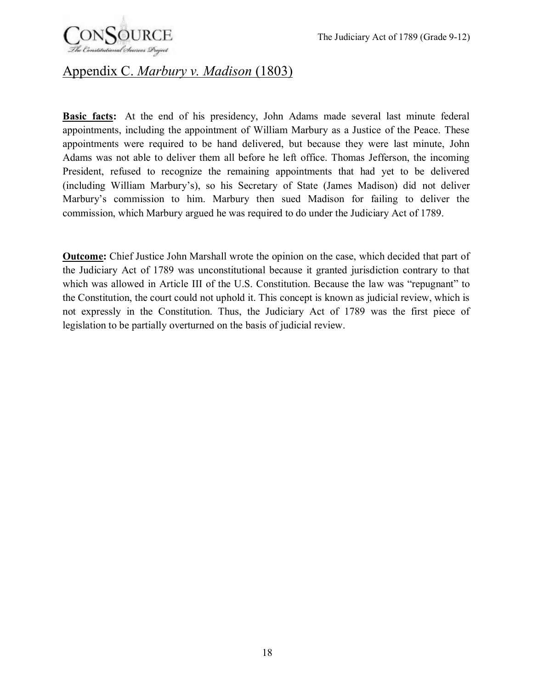

## Appendix C. *Marbury v. Madison* (1803)

**Basic facts:** At the end of his presidency, John Adams made several last minute federal appointments, including the appointment of William Marbury as a Justice of the Peace. These appointments were required to be hand delivered, but because they were last minute, John Adams was not able to deliver them all before he left office. Thomas Jefferson, the incoming President, refused to recognize the remaining appointments that had yet to be delivered (including William Marbury's), so his Secretary of State (James Madison) did not deliver Marbury's commission to him. Marbury then sued Madison for failing to deliver the commission, which Marbury argued he was required to do under the Judiciary Act of 1789.

**Outcome:** Chief Justice John Marshall wrote the opinion on the case, which decided that part of the Judiciary Act of 1789 was unconstitutional because it granted jurisdiction contrary to that which was allowed in Article III of the U.S. Constitution. Because the law was "repugnant" to the Constitution, the court could not uphold it. This concept is known as judicial review, which is not expressly in the Constitution. Thus, the Judiciary Act of 1789 was the first piece of legislation to be partially overturned on the basis of judicial review.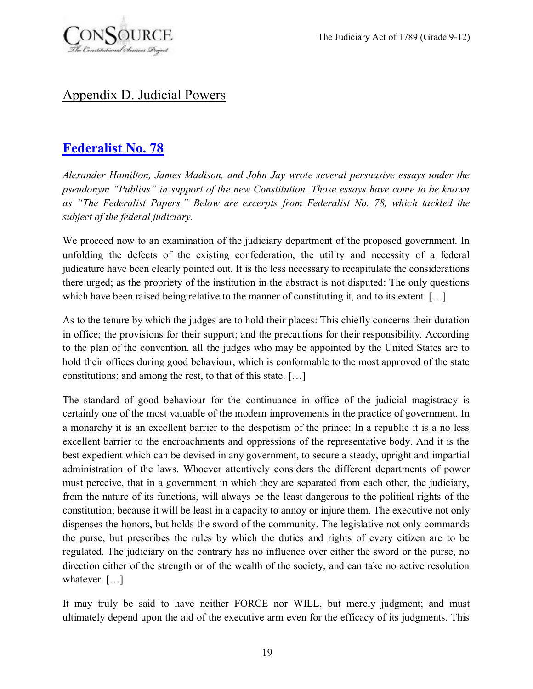

## Appendix D. Judicial Powers

# **[Federalist No. 78](http://consource.org/document/the-federalist-no-78-1788-6-14/)**

*Alexander Hamilton, James Madison, and John Jay wrote several persuasive essays under the pseudonym "Publius" in support of the new Constitution. Those essays have come to be known as "The Federalist Papers." Below are excerpts from Federalist No. 78, which tackled the subject of the federal judiciary.* 

We proceed now to an examination of the judiciary department of the proposed government. In unfolding the defects of the existing confederation, the utility and necessity of a federal judicature have been clearly pointed out. It is the less necessary to recapitulate the considerations there urged; as the propriety of the institution in the abstract is not disputed: The only questions which have been raised being relative to the manner of constituting it, and to its extent. [...]

As to the tenure by which the judges are to hold their places: This chiefly concerns their duration in office; the provisions for their support; and the precautions for their responsibility. According to the plan of the convention, all the judges who may be appointed by the United States are to hold their offices during good behaviour, which is conformable to the most approved of the state constitutions; and among the rest, to that of this state. […]

The standard of good behaviour for the continuance in office of the judicial magistracy is certainly one of the most valuable of the modern improvements in the practice of government. In a monarchy it is an excellent barrier to the despotism of the prince: In a republic it is a no less excellent barrier to the encroachments and oppressions of the representative body. And it is the best expedient which can be devised in any government, to secure a steady, upright and impartial administration of the laws. Whoever attentively considers the different departments of power must perceive, that in a government in which they are separated from each other, the judiciary, from the nature of its functions, will always be the least dangerous to the political rights of the constitution; because it will be least in a capacity to annoy or injure them. The executive not only dispenses the honors, but holds the sword of the community. The legislative not only commands the purse, but prescribes the rules by which the duties and rights of every citizen are to be regulated. The judiciary on the contrary has no influence over either the sword or the purse, no direction either of the strength or of the wealth of the society, and can take no active resolution whatever. […]

It may truly be said to have neither FORCE nor WILL, but merely judgment; and must ultimately depend upon the aid of the executive arm even for the efficacy of its judgments. This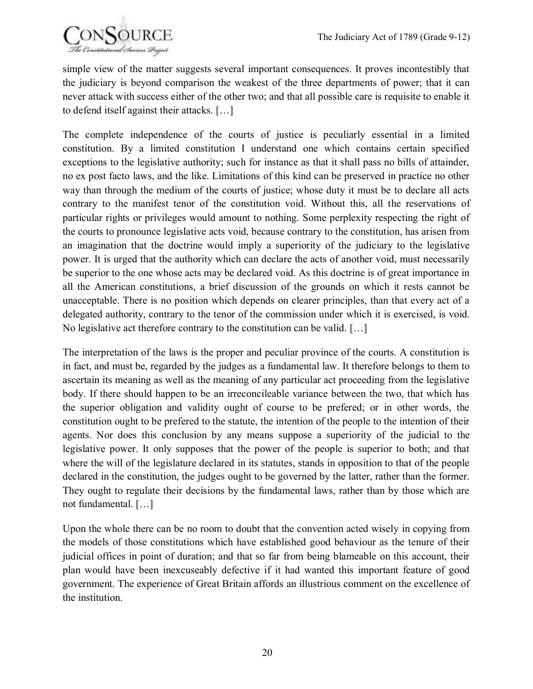

simple view of the matter suggests several important consequences. It proves incontestibly that the judiciary is beyond comparison the weakest of the three departments of power; that it can never attack with success either of the other two; and that all possible care is requisite to enable it to defend itself against their attacks. […]

The complete independence of the courts of justice is peculiarly essential in a limited constitution. By a limited constitution I understand one which contains certain specified exceptions to the legislative authority; such for instance as that it shall pass no bills of attainder, no ex post facto laws, and the like. Limitations of this kind can be preserved in practice no other way than through the medium of the courts of justice; whose duty it must be to declare all acts contrary to the manifest tenor of the constitution void. Without this, all the reservations of particular rights or privileges would amount to nothing. Some perplexity respecting the right of the courts to pronounce legislative acts void, because contrary to the constitution, has arisen from an imagination that the doctrine would imply a superiority of the judiciary to the legislative power. It is urged that the authority which can declare the acts of another void, must necessarily be superior to the one whose acts may be declared void. As this doctrine is of great importance in all the American constitutions, a brief discussion of the grounds on which it rests cannot be unacceptable. There is no position which depends on clearer principles, than that every act of a delegated authority, contrary to the tenor of the commission under which it is exercised, is void. No legislative act therefore contrary to the constitution can be valid. […]

The interpretation of the laws is the proper and peculiar province of the courts. A constitution is in fact, and must be, regarded by the judges as a fundamental law. It therefore belongs to them to ascertain its meaning as well as the meaning of any particular act proceeding from the legislative body. If there should happen to be an irreconcileable variance between the two, that which has the superior obligation and validity ought of course to be prefered; or in other words, the constitution ought to be prefered to the statute, the intention of the people to the intention of their agents. Nor does this conclusion by any means suppose a superiority of the judicial to the legislative power. It only supposes that the power of the people is superior to both; and that where the will of the legislature declared in its statutes, stands in opposition to that of the people declared in the constitution, the judges ought to be governed by the latter, rather than the former. They ought to regulate their decisions by the fundamental laws, rather than by those which are not fundamental. […]

Upon the whole there can be no room to doubt that the convention acted wisely in copying from the models of those constitutions which have established good behaviour as the tenure of their judicial offices in point of duration; and that so far from being blameable on this account, their plan would have been inexcuseably defective if it had wanted this important feature of good government. The experience of Great Britain affords an illustrious comment on the excellence of the institution.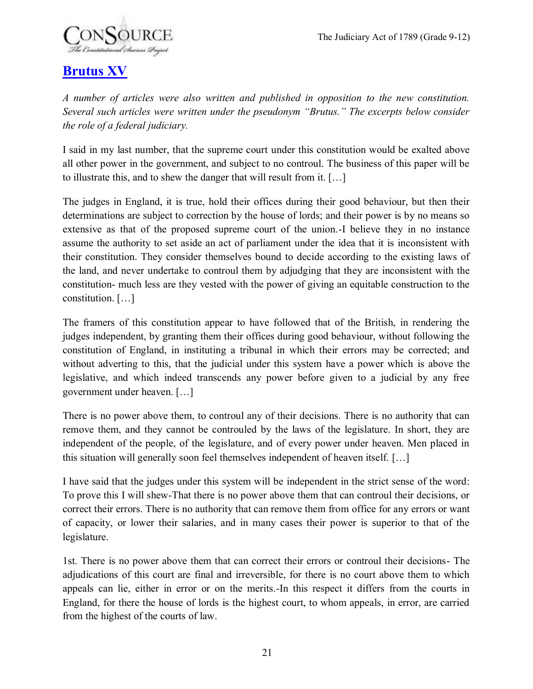

# **[Brutus XV](http://consource.org/document/brutus-xv-1788-3-20/)**

*A number of articles were also written and published in opposition to the new constitution. Several such articles were written under the pseudonym "Brutus." The excerpts below consider the role of a federal judiciary.* 

I said in my last number, that the supreme court under this constitution would be exalted above all other power in the government, and subject to no controul. The business of this paper will be to illustrate this, and to shew the danger that will result from it. […]

The judges in England, it is true, hold their offices during their good behaviour, but then their determinations are subject to correction by the house of lords; and their power is by no means so extensive as that of the proposed supreme court of the union.-I believe they in no instance assume the authority to set aside an act of parliament under the idea that it is inconsistent with their constitution. They consider themselves bound to decide according to the existing laws of the land, and never undertake to controul them by adjudging that they are inconsistent with the constitution- much less are they vested with the power of giving an equitable construction to the constitution. […]

The framers of this constitution appear to have followed that of the British, in rendering the judges independent, by granting them their offices during good behaviour, without following the constitution of England, in instituting a tribunal in which their errors may be corrected; and without adverting to this, that the judicial under this system have a power which is above the legislative, and which indeed transcends any power before given to a judicial by any free government under heaven. […]

There is no power above them, to controul any of their decisions. There is no authority that can remove them, and they cannot be controuled by the laws of the legislature. In short, they are independent of the people, of the legislature, and of every power under heaven. Men placed in this situation will generally soon feel themselves independent of heaven itself. […]

I have said that the judges under this system will be independent in the strict sense of the word: To prove this I will shew-That there is no power above them that can controul their decisions, or correct their errors. There is no authority that can remove them from office for any errors or want of capacity, or lower their salaries, and in many cases their power is superior to that of the legislature.

1st. There is no power above them that can correct their errors or controul their decisions- The adjudications of this court are final and irreversible, for there is no court above them to which appeals can lie, either in error or on the merits.-In this respect it differs from the courts in England, for there the house of lords is the highest court, to whom appeals, in error, are carried from the highest of the courts of law.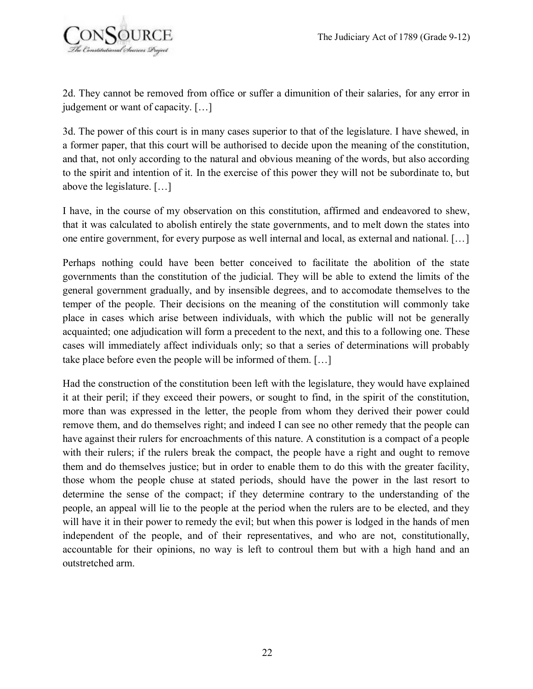

2d. They cannot be removed from office or suffer a dimunition of their salaries, for any error in judgement or want of capacity. […]

3d. The power of this court is in many cases superior to that of the legislature. I have shewed, in a former paper, that this court will be authorised to decide upon the meaning of the constitution, and that, not only according to the natural and obvious meaning of the words, but also according to the spirit and intention of it. In the exercise of this power they will not be subordinate to, but above the legislature. […]

I have, in the course of my observation on this constitution, affirmed and endeavored to shew, that it was calculated to abolish entirely the state governments, and to melt down the states into one entire government, for every purpose as well internal and local, as external and national. […]

Perhaps nothing could have been better conceived to facilitate the abolition of the state governments than the constitution of the judicial. They will be able to extend the limits of the general government gradually, and by insensible degrees, and to accomodate themselves to the temper of the people. Their decisions on the meaning of the constitution will commonly take place in cases which arise between individuals, with which the public will not be generally acquainted; one adjudication will form a precedent to the next, and this to a following one. These cases will immediately affect individuals only; so that a series of determinations will probably take place before even the people will be informed of them. […]

Had the construction of the constitution been left with the legislature, they would have explained it at their peril; if they exceed their powers, or sought to find, in the spirit of the constitution, more than was expressed in the letter, the people from whom they derived their power could remove them, and do themselves right; and indeed I can see no other remedy that the people can have against their rulers for encroachments of this nature. A constitution is a compact of a people with their rulers; if the rulers break the compact, the people have a right and ought to remove them and do themselves justice; but in order to enable them to do this with the greater facility, those whom the people chuse at stated periods, should have the power in the last resort to determine the sense of the compact; if they determine contrary to the understanding of the people, an appeal will lie to the people at the period when the rulers are to be elected, and they will have it in their power to remedy the evil; but when this power is lodged in the hands of men independent of the people, and of their representatives, and who are not, constitutionally, accountable for their opinions, no way is left to controul them but with a high hand and an outstretched arm.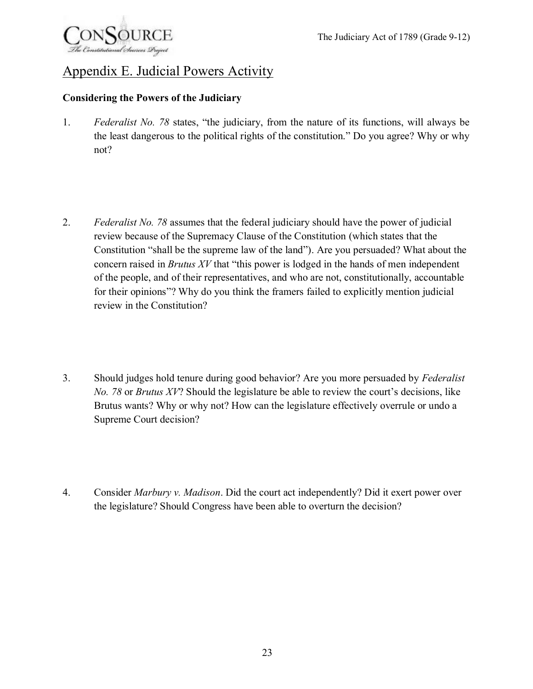

# Appendix E. Judicial Powers Activity

### **Considering the Powers of the Judiciary**

- 1. *Federalist No. 78* states, "the judiciary, from the nature of its functions, will always be the least dangerous to the political rights of the constitution." Do you agree? Why or why not?
- 2. *Federalist No. 78* assumes that the federal judiciary should have the power of judicial review because of the Supremacy Clause of the Constitution (which states that the Constitution "shall be the supreme law of the land"). Are you persuaded? What about the concern raised in *Brutus XV* that "this power is lodged in the hands of men independent of the people, and of their representatives, and who are not, constitutionally, accountable for their opinions"? Why do you think the framers failed to explicitly mention judicial review in the Constitution?
- 3. Should judges hold tenure during good behavior? Are you more persuaded by *Federalist No. 78* or *Brutus XV*? Should the legislature be able to review the court's decisions, like Brutus wants? Why or why not? How can the legislature effectively overrule or undo a Supreme Court decision?
- 4. Consider *Marbury v. Madison*. Did the court act independently? Did it exert power over the legislature? Should Congress have been able to overturn the decision?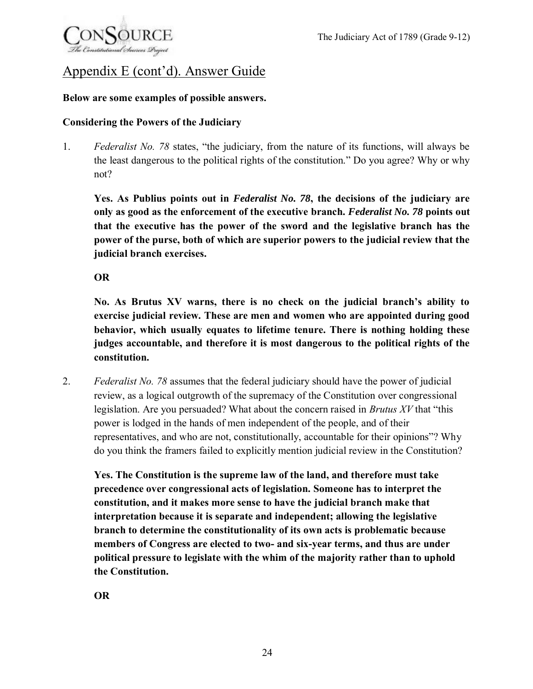

# Appendix E (cont'd). Answer Guide

### **Below are some examples of possible answers.**

### **Considering the Powers of the Judiciary**

1. *Federalist No. 78* states, "the judiciary, from the nature of its functions, will always be the least dangerous to the political rights of the constitution." Do you agree? Why or why not?

**Yes. As Publius points out in** *Federalist No. 78***, the decisions of the judiciary are only as good as the enforcement of the executive branch.** *Federalist No. 78* **points out that the executive has the power of the sword and the legislative branch has the power of the purse, both of which are superior powers to the judicial review that the judicial branch exercises.** 

**OR**

**No. As Brutus XV warns, there is no check on the judicial branch's ability to exercise judicial review. These are men and women who are appointed during good behavior, which usually equates to lifetime tenure. There is nothing holding these judges accountable, and therefore it is most dangerous to the political rights of the constitution.** 

2. *Federalist No. 78* assumes that the federal judiciary should have the power of judicial review, as a logical outgrowth of the supremacy of the Constitution over congressional legislation. Are you persuaded? What about the concern raised in *Brutus XV* that "this power is lodged in the hands of men independent of the people, and of their representatives, and who are not, constitutionally, accountable for their opinions"? Why do you think the framers failed to explicitly mention judicial review in the Constitution?

**Yes. The Constitution is the supreme law of the land, and therefore must take precedence over congressional acts of legislation. Someone has to interpret the constitution, and it makes more sense to have the judicial branch make that interpretation because it is separate and independent; allowing the legislative branch to determine the constitutionality of its own acts is problematic because members of Congress are elected to two- and six-year terms, and thus are under political pressure to legislate with the whim of the majority rather than to uphold the Constitution.** 

**OR**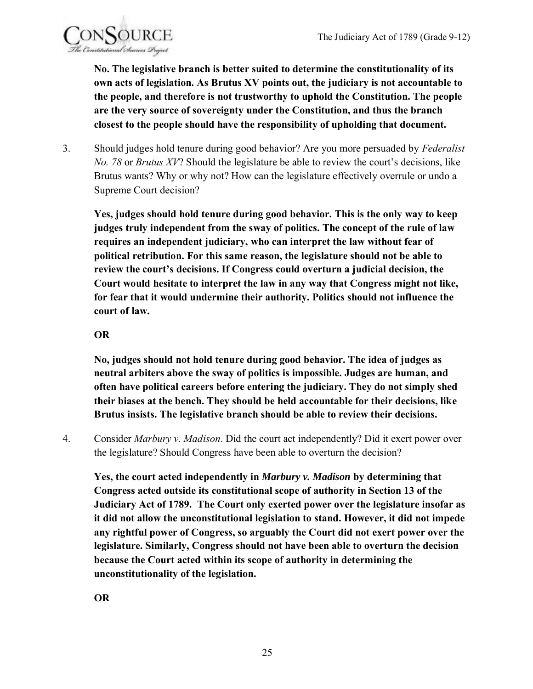

**No. The legislative branch is better suited to determine the constitutionality of its own acts of legislation. As Brutus XV points out, the judiciary is not accountable to the people, and therefore is not trustworthy to uphold the Constitution. The people are the very source of sovereignty under the Constitution, and thus the branch closest to the people should have the responsibility of upholding that document.** 

3. Should judges hold tenure during good behavior? Are you more persuaded by *Federalist No. 78* or *Brutus XV*? Should the legislature be able to review the court's decisions, like Brutus wants? Why or why not? How can the legislature effectively overrule or undo a Supreme Court decision?

**Yes, judges should hold tenure during good behavior. This is the only way to keep judges truly independent from the sway of politics. The concept of the rule of law requires an independent judiciary, who can interpret the law without fear of political retribution. For this same reason, the legislature should not be able to review the court's decisions. If Congress could overturn a judicial decision, the Court would hesitate to interpret the law in any way that Congress might not like, for fear that it would undermine their authority. Politics should not influence the court of law.** 

### **OR**

**No, judges should not hold tenure during good behavior. The idea of judges as neutral arbiters above the sway of politics is impossible. Judges are human, and often have political careers before entering the judiciary. They do not simply shed their biases at the bench. They should be held accountable for their decisions, like Brutus insists. The legislative branch should be able to review their decisions.** 

4. Consider *Marbury v. Madison*. Did the court act independently? Did it exert power over the legislature? Should Congress have been able to overturn the decision?

**Yes, the court acted independently in** *Marbury v. Madison* **by determining that Congress acted outside its constitutional scope of authority in Section 13 of the Judiciary Act of 1789. The Court only exerted power over the legislature insofar as it did not allow the unconstitutional legislation to stand. However, it did not impede any rightful power of Congress, so arguably the Court did not exert power over the legislature. Similarly, Congress should not have been able to overturn the decision because the Court acted within its scope of authority in determining the unconstitutionality of the legislation.**